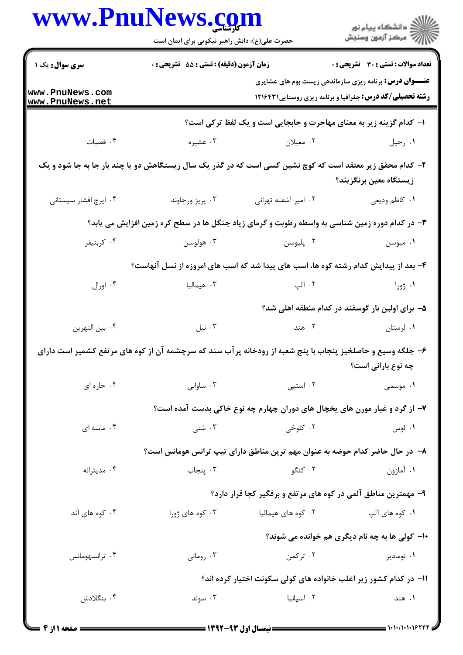|                                    | www.PnuNews.com                                                                                             |                             | ر<br>دانشڪاه پيام نور)<br>ا∛ مرڪز آزمون وسنڊش                                                                                     |
|------------------------------------|-------------------------------------------------------------------------------------------------------------|-----------------------------|-----------------------------------------------------------------------------------------------------------------------------------|
|                                    | حضرت علی(ع): دانش راهبر نیکویی برای ایمان است                                                               |                             |                                                                                                                                   |
| <b>سری سوال :</b> یک ۱             | <b>زمان آزمون (دقیقه) : تستی : 55 تشریحی : 0</b>                                                            |                             | <b>تعداد سوالات : تستی : 30 ٪ تشریحی : 0</b>                                                                                      |
| www.PnuNews.com<br>www.PnuNews.net |                                                                                                             |                             | <b>عنـــوان درس:</b> برنامه ریزی سازماندهی زیست بوم های عشایری<br><b>رشته تحصیلی/کد درس:</b> جغرافیا و برنامه ریزی روستایی1۲۱۶۴۳۱ |
|                                    |                                                                                                             |                             | ا- کدام گزینه زیر به معنای مهاجرت و جابجایی است و یک لفظ ترکی است؟                                                                |
| ۰۴ قصبات                           |                                                                                                             | ۲ مغیلان مغنی به سخت می درم | ۰۱ رحيل                                                                                                                           |
|                                    | ۲- کدام محقق زیر معتقد است که کوچ نشین کسی است که در گذر یک سال زیستگاهش دو یا چند بار جا به جا شود و یک    |                             | زیستگاه معین برنگزیند؟                                                                                                            |
| ۰۴ ایرج افشار سیستانی              | ۰۳ پريز ورجاوند                                                                                             | ٠٢ امير آشفته تهراني        | ۰۱ كاظم وديعي                                                                                                                     |
|                                    | ۳- در کدام دوره زمین شناسی به واسطه رطوبت و گرمای زیاد جنگل ها در سطح کره زمین افزایش می یابد؟              |                             |                                                                                                                                   |
| ۰۴ كربنيفر                         | ۰۳ هولوسن                                                                                                   | ۰۲ پليوسن                   | ۰۱ میوسن                                                                                                                          |
|                                    | ۴- بعد از پیدایش کدام رشته کوه ها، اسب های پیدا شد که اسب های امروزه از نسل آنهاست؟                         |                             |                                                                                                                                   |
| ۰۴ اورال                           | ۰۳ هیمالیا                                                                                                  | ۲. آلپ                      | ۰۱ ژورا                                                                                                                           |
|                                    |                                                                                                             |                             | ۵- برای اولین بار گوسفند در کدام منطقه اهلی شد؟                                                                                   |
| ۰۴ بين النهرين                     | ۰۳ نیل                                                                                                      | ٢. هند                      | ۰۱ لرستان                                                                                                                         |
|                                    | ۶– جلگه وسیع و حاصلخیز پنجاب با پنج شعبه از رودخانه پر آب سند که سرچشمه آن از کوه های مرتفع کشمیر است دارای |                             |                                                                                                                                   |
|                                    |                                                                                                             |                             | چه نوع بارانی است؟                                                                                                                |
| ۰۴ حاره ای                         | ۰۳ ساوانی                                                                                                   | ۰۲ استپی                    | ۱. موسمى                                                                                                                          |
|                                    |                                                                                                             |                             | ۷- از گرد و غبار مورن های یخچال های دوران چهارم چه نوع خاکی بدست آمده است؟                                                        |
| ۰۴ ماسه ای                         | ۰۳ شنبي                                                                                                     | ۰۲ کلوخی                    | ۰۱ لوس                                                                                                                            |
|                                    |                                                                                                             |                             | ۸– در حال حاضر کدام حوضه به عنوان مهم ترین مناطق دارای تیپ ترانس هومانس است؟                                                      |
| ۰۴ مديترانه                        | ۰۳ پنجاب                                                                                                    | ۰۲ کنگو                     | ۰۱ آمازون                                                                                                                         |
|                                    |                                                                                                             |                             | ۹- مهمترین مناطق آلمی در کوه های مرتفع و برفگیر کجا قرار دارد؟                                                                    |
| ۰۴ کوه های آند                     | ۰۳ کوه های ژورا                                                                                             | ۰۲ کوه های هیمالیا          | ۰۱ کوه های آلپ                                                                                                                    |
|                                    |                                                                                                             |                             | ۱۰- کولی ها به چه نام دیگری هم خوانده می شوند؟                                                                                    |
| ۰۴ ترانسهومانس                     | ۰۳ رومانی                                                                                                   | ۰۲ ترکمن                    | ۰۱ نوماديز                                                                                                                        |
|                                    |                                                                                                             |                             | ۱۱– در کدام کشور زیر اغلب خانواده های کولی سکونت اختیار کرده اند؟                                                                 |
| ۰۴ بنگلادش                         | ۰۳ سوئد                                                                                                     | ۰۲ اسپانیا                  | ۰۱ هند                                                                                                                            |
|                                    |                                                                                                             |                             |                                                                                                                                   |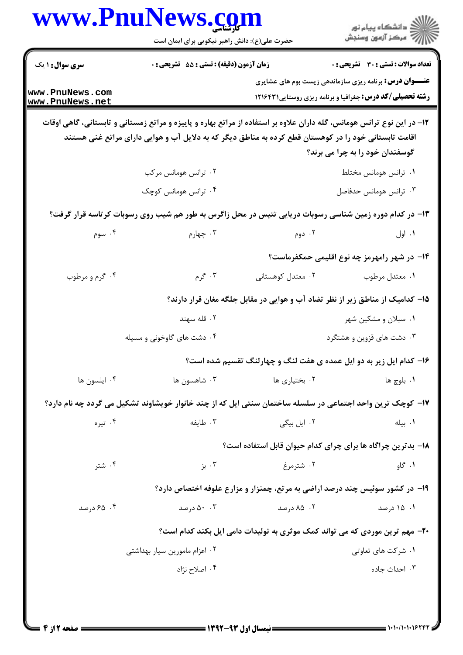| www.PnuNews.com               | حضرت علی(ع): دانش راهبر نیکویی برای ایمان است |             | ڪ دانشڪاه پيام نور<br>ر∕⊂ مرڪز آزمون وسنڊش                                                                                                                                                                                     |
|-------------------------------|-----------------------------------------------|-------------|--------------------------------------------------------------------------------------------------------------------------------------------------------------------------------------------------------------------------------|
|                               | زمان آزمون (دقیقه) : تستی : 55 تشریحی : 0     |             | تعداد سوالات : تستي : 30 ٪ تشريحي : 0                                                                                                                                                                                          |
|                               |                                               |             | <b>عنـــوان درس:</b> برنامه ریزی سازماندهی زیست بوم های عشایری<br><b>رشته تحصیلی/کد درس:</b> جغرافیا و برنامه ریزی روستایی1۲۱۶۴۳۱                                                                                              |
|                               |                                               |             | ۱۲– در این نوع ترانس هومانس، گله داران علاوه بر استفاده از مراتع بهاره و پاییزه و مراتع زمستانی و تابستانی، گاهی اوقات<br>اقامت تابستانی خود را در کوهستان قطع کرده به مناطق دیگر که به دلایل آب و هوایی دارای مراتع غنی هستند |
|                               |                                               |             | گوسفندان خود را به چرا می برند؟                                                                                                                                                                                                |
| ۰۲ ترانس هومانس مرکب          |                                               |             | ٠١ ترانس هومانس مختلط                                                                                                                                                                                                          |
| ۰۴ ترانس هومانس کوچک          |                                               |             | ۰۳ ترانس هومانس حدفاصل                                                                                                                                                                                                         |
|                               |                                               |             | ۱۳- در کدام دوره زمین شناسی رسوبات دریایی تتیس در محل زاگرس به طور هم شیب روی رسوبات کر تاسه قرار گرفت؟                                                                                                                        |
| ۰۳ چهارم                      |                                               | ۰۲ دوم      | ۰۱ اول                                                                                                                                                                                                                         |
|                               |                                               |             | ۱۴– در شهر رامهرمز چه نوع اقلیمی حمکفرماست؟                                                                                                                                                                                    |
| ۰۳ گرم                        | ۰۲ معتدل کوهستانی                             |             | ۰۱ معتدل مرطوب                                                                                                                                                                                                                 |
|                               |                                               |             | ۱۵– کدامیک از مناطق زیر از نظر تضاد آب و هوایی در مقابل جلگه مغان قرار دارند؟                                                                                                                                                  |
| ۰۲ قله سهند                   |                                               |             | ۰۱ سبلان و مشکین شهر                                                                                                                                                                                                           |
| ۰۴ دشت های گاوخونی و مسیله    |                                               |             | ۰۳ دشت های قزوین و هشتگرد                                                                                                                                                                                                      |
|                               |                                               |             | ۱۶- کدام ایل زیر به دو ایل عمده ی هفت لنگ و چهارلنگ تقسیم شده است؟                                                                                                                                                             |
| ۰۳ شاهسون ها                  | ۰۲ بختیاری ها                                 |             | ۰۱ بلوچ ها                                                                                                                                                                                                                     |
|                               |                                               |             | ۱۷– کوچک ترین واحد اجتماعی در سلسله ساختمان سنتی ایل که از چند خانوار خویشاوند تشکیل می گردد چه نام دارد؟                                                                                                                      |
| ۰۳ طايفه                      |                                               | ۰۲ ایل بیگی | ۰۱ بیله                                                                                                                                                                                                                        |
|                               |                                               |             | ۱۸− بدترین چراگاه ها برای چرای کدام حیوان قابل استفاده است؟                                                                                                                                                                    |
| ۰۳ بز                         |                                               | ۰۲ شترمرغ   | ۰۱ گاو                                                                                                                                                                                                                         |
|                               |                                               |             | ۱۹- در کشور سوئیس چند درصد اراضی به مرتع، چمنزار و مزارع علوفه اختصاص دارد؟                                                                                                                                                    |
| ۵۰ .۳ درصد                    |                                               | ۰۲ ۸۵ درصد  | ۰۱ ۱۵ درصد                                                                                                                                                                                                                     |
|                               |                                               |             |                                                                                                                                                                                                                                |
|                               |                                               |             | ۲۰- مهم ترین موردی که می تواند کمک موثری به تولیدات دامی ایل بکند کدام است؟                                                                                                                                                    |
| ۰۲ اعزام مامورین سیار بهداشتی |                                               |             | ۰۱ شرکت های تعاوتی                                                                                                                                                                                                             |
| ۰۴ اصلاح نژاد                 |                                               |             | ۰۳ احداث جاده                                                                                                                                                                                                                  |

 $\blacksquare$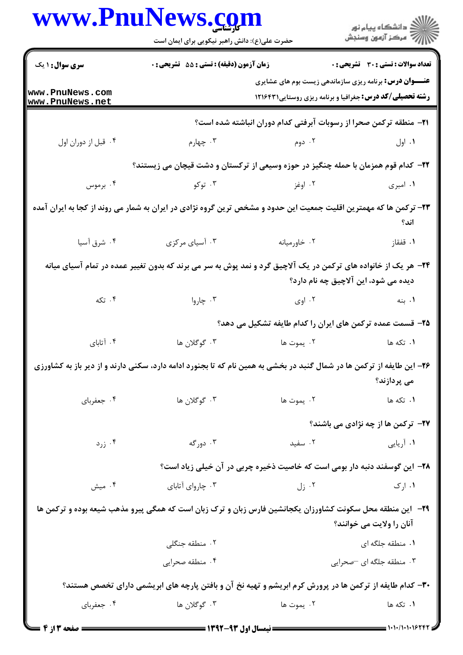| www.PnuNews.com                    | حضرت علی(ع): دانش راهبر نیکویی برای ایمان است                                                                             |              | ڪ دانشڪاه پيا <sub>م</sub> نور<br><i>آ</i> 7 مرڪز آزمون وسنڊش                                                                     |  |
|------------------------------------|---------------------------------------------------------------------------------------------------------------------------|--------------|-----------------------------------------------------------------------------------------------------------------------------------|--|
| <b>سری سوال :</b> ۱ یک             | زمان آزمون (دقیقه) : تستی : 55 آتشریحی : 0                                                                                |              | تعداد سوالات : تستي : 30 ٪ تشريحي : 0                                                                                             |  |
| www.PnuNews.com<br>www.PnuNews.net |                                                                                                                           |              | <b>عنـــوان درس:</b> برنامه ریزی سازماندهی زیست بوم های عشایری<br><b>رشته تحصیلی/کد درس:</b> جغرافیا و برنامه ریزی روستایی1۲۱۶۴۳۱ |  |
|                                    |                                                                                                                           |              | <b>۲۱</b> - منطقه ترکمن صحرا از رسوبات آبرفتی کدام دوران انباشته شده است؟                                                         |  |
| ۰۴ قبل از دوران اول                | ۰۳ چهارم                                                                                                                  | ۰۲ دوم       | ۰۱ اول                                                                                                                            |  |
|                                    | ۲۲– کدام قوم همزمان با حمله چنگیز در حوزه وسیعی از ترکستان و دشت قیچان می زیستند؟                                         |              |                                                                                                                                   |  |
| ۰۴ برموس                           | ۰۳ توکو                                                                                                                   | ۰۲ اوغز      | ۰۱ امبری                                                                                                                          |  |
|                                    | ۲۳– ترکمن ها که مهمترین اقلیت جمعیت این حدود و مشخص ترین گروه نژادی در ایران به شمار می روند از کجا به ایران آمده         |              | اند؟                                                                                                                              |  |
| ۰۴ شرق آسیا                        | ۰۳ آسیای مرکزی                                                                                                            | ۰۲ خاورمیانه | ۰۱ قفقاز                                                                                                                          |  |
|                                    | ۲۴- هر یک از خانواده های ترکمن در یک آلاچیق گرد و نمد پوش به سر می برند که بدون تغییر عمده در تمام آسیای میانه            |              | دیده می شود، این آلاچیق چه نام دارد؟                                                                                              |  |
| ۰۴ تکه                             | ۰۳ چاروا                                                                                                                  | ۰۲ اوی       | ۰۱ بنه                                                                                                                            |  |
|                                    |                                                                                                                           |              | ۲۵– قسمت عمده ترکمن های ایران را کدام طایفه تشکیل می دهد؟                                                                         |  |
| ۰۴ آتابای                          | ۰۳ گوگلان ها                                                                                                              | ۰۲ يموت ها   | ۰۱ تکه ها                                                                                                                         |  |
|                                    | ۲۶- این طایفه از ترکمن ها در شمال گنبد در بخشی به همین نام که تا بجنورد ادامه دارد، سکنی دارند و از دیر باز به کشاورزی    |              | می پردازند؟                                                                                                                       |  |
| ۰۴ جعفرباي                         | ۰۳ گوگلان ها                                                                                                              | ٢. يموت ها   | ۰۱ تکه ها                                                                                                                         |  |
|                                    |                                                                                                                           |              | <b>37- ترکمن ها از چه نژادی می باشند؟</b>                                                                                         |  |
| ۰۴ زرد                             | ۰۳ دورگه                                                                                                                  | ۰۲ سفید      | ۰۱ آریایی                                                                                                                         |  |
|                                    |                                                                                                                           |              | ۲۸– این گوسفند دنبه دار بومی است که خاصیت ذخیره چربی در آن خیلی زیاد است؟                                                         |  |
| ۰۴ میش                             | ۰۳ چاروای آتابای                                                                                                          |              | $J:$ ( $\mathcal{N}$<br>۰۱ ارک                                                                                                    |  |
|                                    | <b>۲۹</b> - <b>این منطقه محل سکونت کشاورزان یکجانشین فار</b> س زبان و ترک زبان است که همگی پیرو مذهب شیعه بوده و ترکمن ها |              | آنان را ولایت می خوانند؟                                                                                                          |  |
|                                    | ۰۲ منطقه جنگلی                                                                                                            |              | ۰۱ منطقه جلگه ای                                                                                                                  |  |
|                                    | ۰۴ منطقه صحرايي                                                                                                           |              | ۰۳ منطقه جلگه ای –صحرایی                                                                                                          |  |
|                                    | ۳۰- کدام طایفه از ترکمن ها در پرورش کرم ابریشم و تهیه نخ آن و بافتن پارچه های ابریشمی دارای تخصص هستند؟                   |              |                                                                                                                                   |  |
| ۰۴ جعفرباي                         | ۰۳ گوگلان ها                                                                                                              | ۲. يموت ها   | ۰۱ تکه ها                                                                                                                         |  |